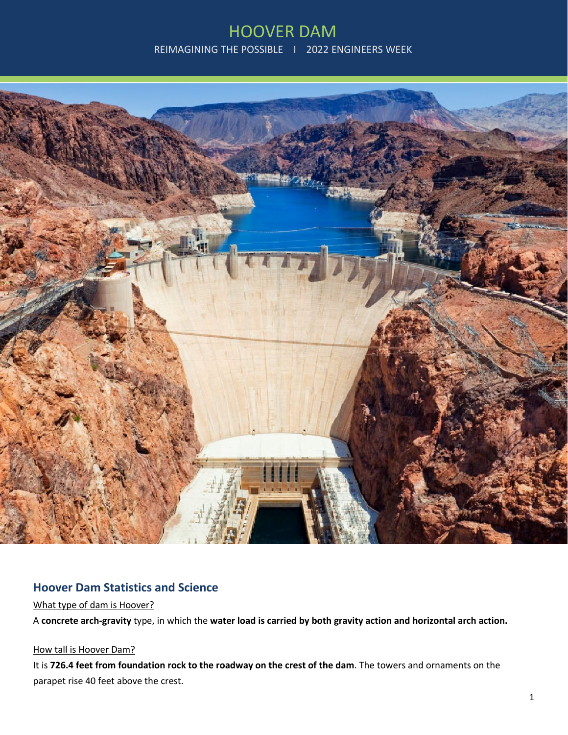

## **Hoover Dam Statistics and Science**

#### What type of dam is Hoover?

A **concrete arch-gravity** type, in which the **water load is carried by both gravity action and horizontal arch action.**

#### How tall is Hoover Dam?

It is **726.4 feet from foundation rock to the roadway on the crest of the dam**. The towers and ornaments on the parapet rise 40 feet above the crest.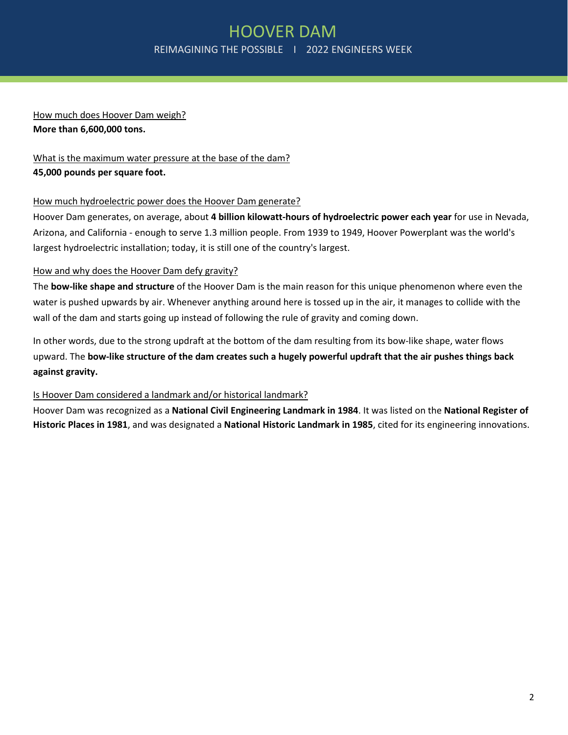## How much does Hoover Dam weigh? **More than 6,600,000 tons.**

## What is the maximum water pressure at the base of the dam? **45,000 pounds per square foot.**

### How much hydroelectric power does the Hoover Dam generate?

Hoover Dam generates, on average, about **4 billion kilowatt-hours of hydroelectric power each year** for use in Nevada, Arizona, and California - enough to serve 1.3 million people. From 1939 to 1949, Hoover Powerplant was the world's largest hydroelectric installation; today, it is still one of the country's largest.

### How and why does the Hoover Dam defy gravity?

The **bow-like shape and structure** of the Hoover Dam is the main reason for this unique phenomenon where even the water is pushed upwards by air. Whenever anything around here is tossed up in the air, it manages to collide with the wall of the dam and starts going up instead of following the rule of gravity and coming down.

In other words, due to the strong updraft at the bottom of the dam resulting from its bow-like shape, water flows upward. The **bow-like structure of the dam creates such a hugely powerful updraft that the air pushes things back against gravity.**

### Is Hoover Dam considered a landmark and/or historical landmark?

Hoover Dam was recognized as a **National Civil Engineering Landmark in 1984**. It was listed on the **National Register of Historic Places in 1981**, and was designated a **National Historic Landmark in 1985**, cited for its engineering innovations.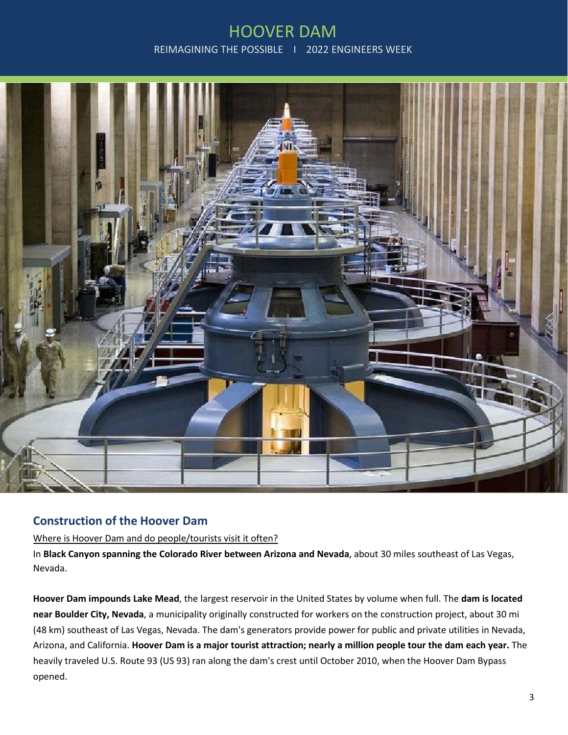

# **Construction of the Hoover Dam**

#### Where is Hoover Dam and do people/tourists visit it often?

In **Black Canyon spanning the Colorado River between Arizona and Nevada**, about 30 miles southeast of Las Vegas, Nevada.

**Hoover Dam impounds Lake Mead**, the largest reservoir in the United States by volume when full. The **dam is located near Boulder City, Nevada**, a municipality originally constructed for workers on the construction project, about 30 mi (48 km) southeast of Las Vegas, Nevada. The dam's generators provide power for public and private utilities in Nevada, Arizona, and California. **Hoover Dam is a major tourist attraction; nearly a million people tour the dam each year.** The heavily traveled U.S. Route 93 (US 93) ran along the dam's crest until October 2010, when the Hoover Dam Bypass opened.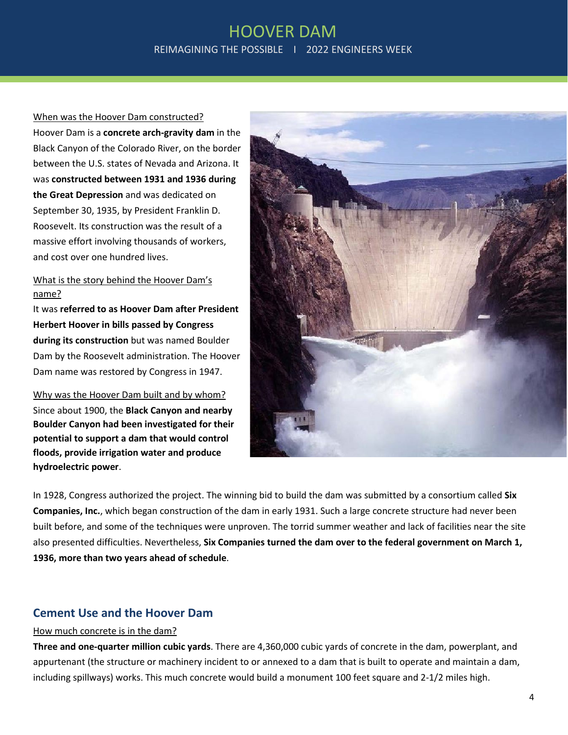When was the Hoover Dam constructed? Hoover Dam is a **concrete arch-gravity dam** in the Black Canyon of the Colorado River, on the border between the U.S. states of Nevada and Arizona. It was **constructed between 1931 and 1936 during the Great Depression** and was dedicated on September 30, 1935, by President Franklin D. Roosevelt. Its construction was the result of a massive effort involving thousands of workers, and cost over one hundred lives.

### What is the story behind the Hoover Dam's name?

It was **referred to as Hoover Dam after President Herbert Hoover in bills passed by Congress during its construction** but was named Boulder Dam by the Roosevelt administration. The Hoover Dam name was restored by Congress in 1947.

Why was the Hoover Dam built and by whom? Since about 1900, the **Black Canyon and nearby Boulder Canyon had been investigated for their potential to support a dam that would control floods, provide irrigation water and produce hydroelectric power**.



In 1928, Congress authorized the project. The winning bid to build the dam was submitted by a consortium called **Six Companies, Inc.**, which began construction of the dam in early 1931. Such a large concrete structure had never been built before, and some of the techniques were unproven. The torrid summer weather and lack of facilities near the site also presented difficulties. Nevertheless, **Six Companies turned the dam over to the federal government on March 1, 1936, more than two years ahead of schedule**.

## **Cement Use and the Hoover Dam**

#### How much concrete is in the dam?

**Three and one-quarter million cubic yards**. There are 4,360,000 cubic yards of concrete in the dam, powerplant, and appurtenant (the structure or machinery incident to or annexed to a dam that is built to operate and maintain a dam, including spillways) works. This much concrete would build a monument 100 feet square and 2-1/2 miles high.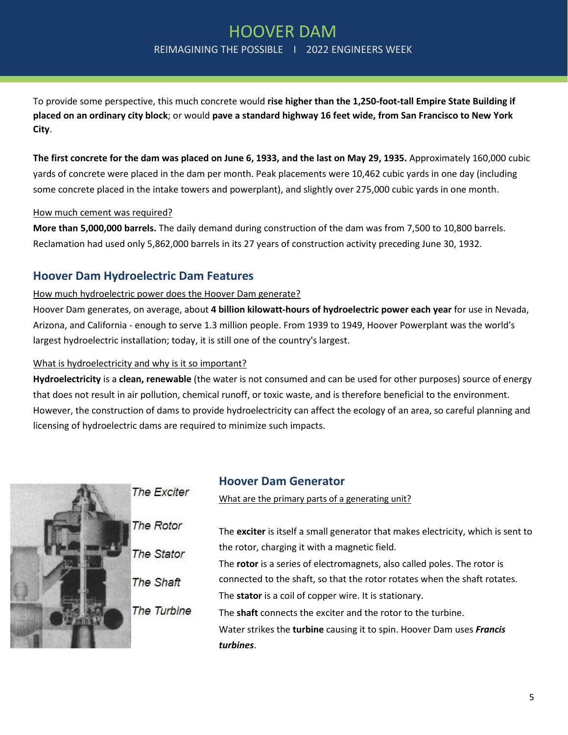To provide some perspective, this much concrete would **rise higher than the 1,250-foot-tall Empire State Building if placed on an ordinary city block**; or would **pave a standard highway 16 feet wide, from San Francisco to New York City**.

**The first concrete for the dam was placed on June 6, 1933, and the last on May 29, 1935.** Approximately 160,000 cubic yards of concrete were placed in the dam per month. Peak placements were 10,462 cubic yards in one day (including some concrete placed in the intake towers and powerplant), and slightly over 275,000 cubic yards in one month.

### How much cement was required?

**More than 5,000,000 barrels.** The daily demand during construction of the dam was from 7,500 to 10,800 barrels. Reclamation had used only 5,862,000 barrels in its 27 years of construction activity preceding June 30, 1932.

## **Hoover Dam Hydroelectric Dam Features**

### How much hydroelectric power does the Hoover Dam generate?

Hoover Dam generates, on average, about **4 billion kilowatt-hours of hydroelectric power each year** for use in Nevada, Arizona, and California - enough to serve 1.3 million people. From 1939 to 1949, Hoover Powerplant was the world's largest hydroelectric installation; today, it is still one of the country's largest.

### What is hydroelectricity and why is it so important?

**Hydroelectricity** is a **clean, renewable** (the water is not consumed and can be used for other purposes) source of energy that does not result in air pollution, chemical runoff, or toxic waste, and is therefore beneficial to the environment. However, the construction of dams to provide hydroelectricity can affect the ecology of an area, so careful planning and licensing of hydroelectric dams are required to minimize such impacts.



# **Hoover Dam Generator**

What are the primary parts of a generating unit?

|    | The exciter is itself a small generator that makes electricity, which is sent to |
|----|----------------------------------------------------------------------------------|
|    | the rotor, charging it with a magnetic field.                                    |
|    | The rotor is a series of electromagnets, also called poles. The rotor is         |
|    | connected to the shaft, so that the rotor rotates when the shaft rotates.        |
|    | The stator is a coil of copper wire. It is stationary.                           |
| ıе | The <b>shaft</b> connects the exciter and the rotor to the turbine.              |
|    | Water strikes the turbine causing it to spin. Hoover Dam uses Francis            |
|    | turbines.                                                                        |
|    |                                                                                  |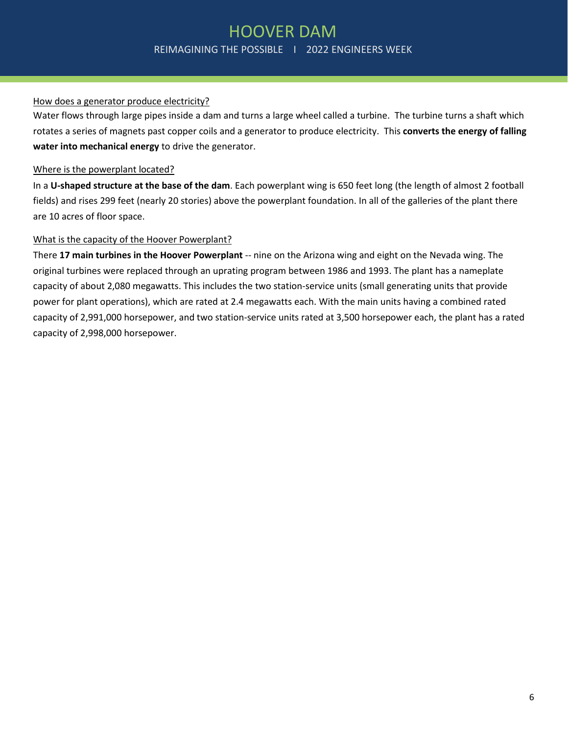### How does a generator produce electricity?

Water flows through large pipes inside a dam and turns a large wheel called a turbine. The turbine turns a shaft which rotates a series of magnets past copper coils and a generator to produce electricity. This **converts the energy of falling water into mechanical energy** to drive the generator.

#### Where is the powerplant located?

In a **U-shaped structure at the base of the dam**. Each powerplant wing is 650 feet long (the length of almost 2 football fields) and rises 299 feet (nearly 20 stories) above the powerplant foundation. In all of the galleries of the plant there are 10 acres of floor space.

### What is the capacity of the Hoover Powerplant?

There **17 main turbines in the Hoover Powerplant** -- nine on the Arizona wing and eight on the Nevada wing. The original turbines were replaced through an uprating program between 1986 and 1993. The plant has a nameplate capacity of about 2,080 megawatts. This includes the two station-service units (small generating units that provide power for plant operations), which are rated at 2.4 megawatts each. With the main units having a combined rated capacity of 2,991,000 horsepower, and two station-service units rated at 3,500 horsepower each, the plant has a rated capacity of 2,998,000 horsepower.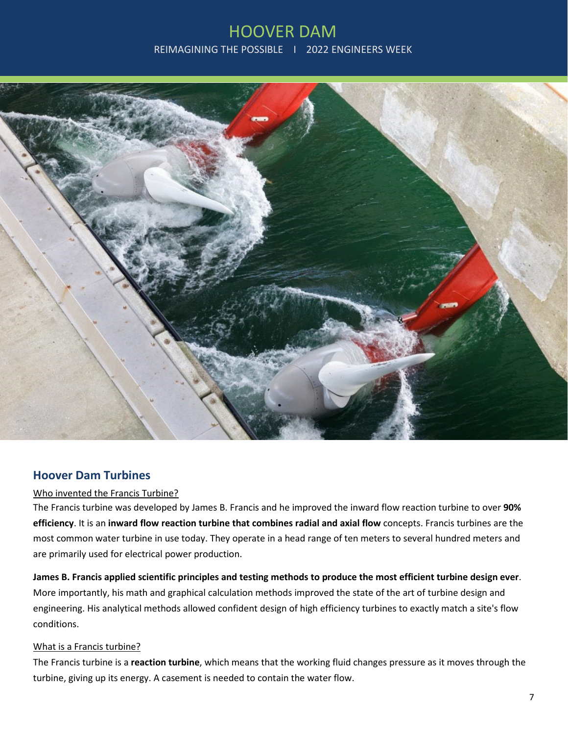

## **Hoover Dam Turbines**

#### Who invented the Francis Turbine?

The Francis turbine was developed by James B. Francis and he improved the inward flow reaction turbine to over **90% efficiency**. It is an **inward flow reaction turbine that combines radial and axial flow** concepts. Francis turbines are the most common water turbine in use today. They operate in a head range of ten meters to several hundred meters and are primarily used for electrical power production.

**James B. Francis applied scientific principles and testing methods to produce the most efficient turbine design ever**. More importantly, his math and graphical calculation methods improved the state of the art of turbine design and engineering. His analytical methods allowed confident design of high efficiency turbines to exactly match a site's flow conditions.

#### What is a Francis turbine?

The Francis turbine is a **reaction turbine**, which means that the working fluid changes pressure as it moves through the turbine, giving up its energy. A casement is needed to contain the water flow.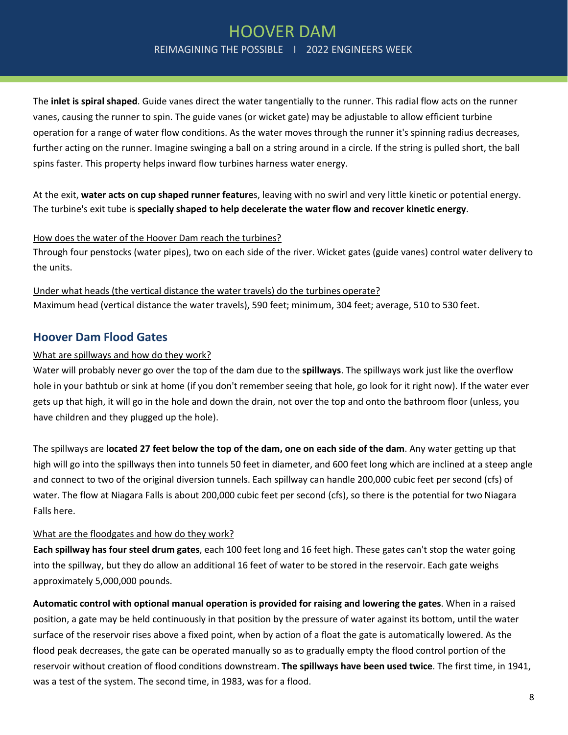The **inlet is spiral shaped**. Guide vanes direct the water tangentially to the runner. This radial flow acts on the runner vanes, causing the runner to spin. The guide vanes (or wicket gate) may be adjustable to allow efficient turbine operation for a range of water flow conditions. As the water moves through the runner it's spinning radius decreases, further acting on the runner. Imagine swinging a ball on a string around in a circle. If the string is pulled short, the ball spins faster. This property helps inward flow turbines harness water energy.

At the exit, **water acts on cup shaped runner feature**s, leaving with no swirl and very little kinetic or potential energy. The turbine's exit tube is **specially shaped to help decelerate the water flow and recover kinetic energy**.

#### How does the water of the Hoover Dam reach the turbines?

Through four penstocks (water pipes), two on each side of the river. Wicket gates (guide vanes) control water delivery to the units.

Under what heads (the vertical distance the water travels) do the turbines operate? Maximum head (vertical distance the water travels), 590 feet; minimum, 304 feet; average, 510 to 530 feet.

## **Hoover Dam Flood Gates**

### What are spillways and how do they work?

Water will probably never go over the top of the dam due to the **spillways**. The spillways work just like the overflow hole in your bathtub or sink at home (if you don't remember seeing that hole, go look for it right now). If the water ever gets up that high, it will go in the hole and down the drain, not over the top and onto the bathroom floor (unless, you have children and they plugged up the hole).

The spillways are **located 27 feet below the top of the dam, one on each side of the dam**. Any water getting up that high will go into the spillways then into tunnels 50 feet in diameter, and 600 feet long which are inclined at a steep angle and connect to two of the original diversion tunnels. Each spillway can handle 200,000 cubic feet per second (cfs) of water. The flow at Niagara Falls is about 200,000 cubic feet per second (cfs), so there is the potential for two Niagara Falls here.

#### What are the floodgates and how do they work?

**Each spillway has four steel drum gates**, each 100 feet long and 16 feet high. These gates can't stop the water going into the spillway, but they do allow an additional 16 feet of water to be stored in the reservoir. Each gate weighs approximately 5,000,000 pounds.

**Automatic control with optional manual operation is provided for raising and lowering the gates**. When in a raised position, a gate may be held continuously in that position by the pressure of water against its bottom, until the water surface of the reservoir rises above a fixed point, when by action of a float the gate is automatically lowered. As the flood peak decreases, the gate can be operated manually so as to gradually empty the flood control portion of the reservoir without creation of flood conditions downstream. **The spillways have been used twice**. The first time, in 1941, was a test of the system. The second time, in 1983, was for a flood.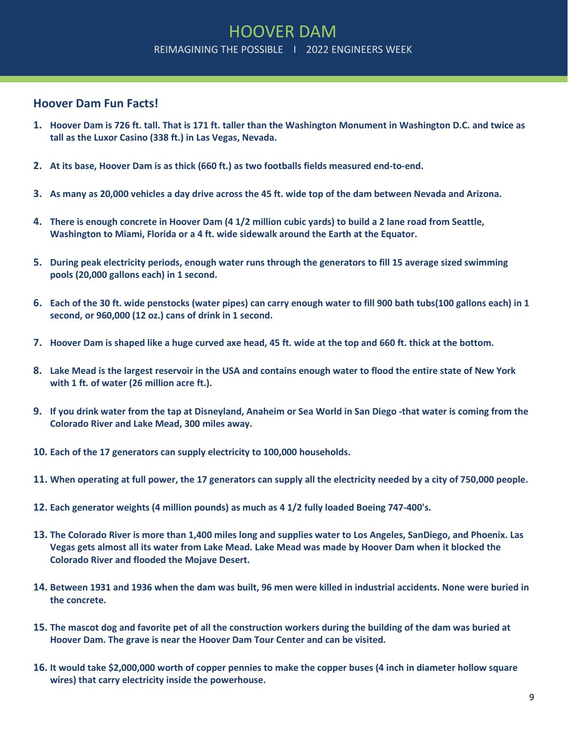## **Hoover Dam Fun Facts!**

- **1. Hoover Dam is 726 ft. tall. That is 171 ft. taller than the Washington Monument in Washington D.C. and twice as tall as the Luxor Casino (338 ft.) in Las Vegas, Nevada.**
- **2. At its base, Hoover Dam is as thick (660 ft.) as two footballs fields measured end-to-end.**
- **3. As many as 20,000 vehicles a day drive across the 45 ft. wide top of the dam between Nevada and Arizona.**
- **4. There is enough concrete in Hoover Dam (4 1/2 million cubic yards) to build a 2 lane road from Seattle, Washington to Miami, Florida or a 4 ft. wide sidewalk around the Earth at the Equator.**
- **5. During peak electricity periods, enough water runs through the generators to fill 15 average sized swimming pools (20,000 gallons each) in 1 second.**
- **6. Each of the 30 ft. wide penstocks (water pipes) can carry enough water to fill 900 bath tubs(100 gallons each) in 1 second, or 960,000 (12 oz.) cans of drink in 1 second.**
- **7. Hoover Dam is shaped like a huge curved axe head, 45 ft. wide at the top and 660 ft. thick at the bottom.**
- **8. Lake Mead is the largest reservoir in the USA and contains enough water to flood the entire state of New York with 1 ft. of water (26 million acre ft.).**
- **9. If you drink water from the tap at Disneyland, Anaheim or Sea World in San Diego -that water is coming from the Colorado River and Lake Mead, 300 miles away.**
- **10. Each of the 17 generators can supply electricity to 100,000 households.**
- **11. When operating at full power, the 17 generators can supply all the electricity needed by a city of 750,000 people.**
- **12. Each generator weights (4 million pounds) as much as 4 1/2 fully loaded Boeing 747-400's.**
- **13. The Colorado River is more than 1,400 miles long and supplies water to Los Angeles, SanDiego, and Phoenix. Las Vegas gets almost all its water from Lake Mead. Lake Mead was made by Hoover Dam when it blocked the Colorado River and flooded the Mojave Desert.**
- **14. Between 1931 and 1936 when the dam was built, 96 men were killed in industrial accidents. None were buried in the concrete.**
- **15. The mascot dog and favorite pet of all the construction workers during the building of the dam was buried at Hoover Dam. The grave is near the Hoover Dam Tour Center and can be visited.**
- **16. It would take \$2,000,000 worth of copper pennies to make the copper buses (4 inch in diameter hollow square wires) that carry electricity inside the powerhouse.**